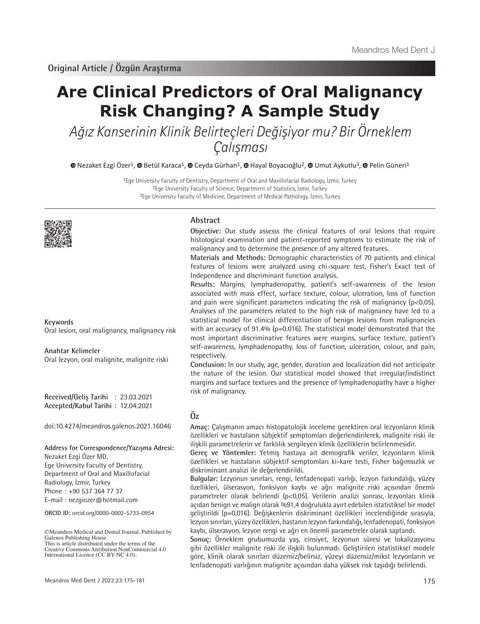# **Are Clinical Predictors of Oral Malignancy Risk Changing? A Sample Study**

Ağız Kanserinin Klinik Belirteçleri Değişiyor mu? Bir Örneklem Çalışması

**©**Nezaket Ezgi Özer<sup>1</sup>, © Betül Karaca<sup>1</sup>, © Ceyda Gürhan<sup>1</sup>, © Hayal Boyacıoğlu<sup>2</sup>, © Umut Aykutlu<sup>3</sup>, © Pelin Güneri<sup>1</sup>

1Ege University Faculty of Dentistry, Department of Oral and Maxillofacial Radiology, İzmir, Turkey 2Ege University Faculty of Science, Department of Statistics, İzmir, Turkey 3Ege University Faculty of Medicine, Department of Medical Pathology, İzmir, Turkey



**Keywords**

Oral lesion, oral malignancy, malignancy risk

**Anahtar Kelimeler** Oral lezyon, oral malignite, malignite riski

**Received/Geliş Tarihi** : 23.03.2021 **Accepted/Kabul Tarihi** : 12.04.2021

doi:10.4274/meandros.galenos.2021.16046

#### **Address for Correspondence/Yazışma Adresi:**

Nezaket Ezgi Özer MD, Ege University Faculty of Dentistry, Department of Oral and Maxillofacial Radiology, İzmir, Turkey Phone : +90 537 364 77 37 E-mail : nezgiozer@hotmail.com

**ORCID ID:** orcid.org/0000-0002-5733-0954

©Meandros Medical and Dental Journal, Published by Galenos Publishing House. This is article distributed under the terms of the

### **Abstract**

**Objective:** Our study assesss the clinical features of oral lesions that require histological examination and patient-reported symptoms to estimate the risk of malignancy and to determine the presence of any altered features.

**Materials and Methods:** Demographic characteristics of 70 patients and clinical features of lesions were analyzed using chi-square test, Fisher's Exact test of Independence and discriminant function analysis.

**Results:** Margins, lymphadenopathy, patient's self-awareness of the lesion associated with mass effect, surface texture, colour, ulceration, loss of function and pain were significant parameters indicating the risk of malignancy ( $p < 0.05$ ). Analyses of the parameters related to the high risk of malignancy have led to a statistical model for clinical differentiation of benign lesions from malignancies with an accuracy of 91.4% (p=0.016). The statistical model demonstrated that the most important discriminative features were margins, surface texture, patient's self-awareness, lymphadenopathy, loss of function, ulceration, colour, and pain, respectively.

**Conclusion:** In our study, age, gender, duration and localization did not anticipate the nature of the lesion. Our statistical model showed that irregular/indistinct margins and surface textures and the presence of lymphadenopathy have a higher risk of malignancy.

# **Öz**

**Amaç:** Çalışmanın amacı histopatolojik inceleme gerektiren oral lezyonların klinik özellikleri ve hastaların sübjektif semptomları değerlendirilerek, malignite riski ile ilişkili parametrelerin ve farklılık sergileyen klinik özelliklerin belirlenmesidir.

**Gereç ve Yöntemler:** Yetmiş hastaya ait demografik veriler, lezyonların klinik özellikleri ve hastaların sübjektif semptomları ki-kare testi, Fisher bağımsızlık ve diskriminant analizi ile değerlendirildi.

**Bulgular:** Lezyonun sınırları, rengi, lenfadenopati varlığı, lezyon farkındalığı, yüzey özellikleri, ülserasyon, fonksiyon kaybı ve ağrı malignite riski açısından önemli parametreler olarak belirlendi (p<0,05). Verilerin analizi sonrası, lezyonları klinik açıdan benign ve malign olarak %91,4 doğrulukla ayırt edebilen istatistiksel bir model geliştirildi (p=0,016). Değişkenlerin diskriminant özellikleri incelendiğinde sırasıyla, lezyon sınırları, yüzey özellikleri, hastanın lezyon farkındalığı, lenfadenopati, fonksiyon kaybı, ülserasyon, lezyon rengi ve ağrı en önemli parametreler olarak saptandı.

**Sonuç:** Örneklem grubumuzda yaş, cinsiyet, lezyonun süresi ve lokalizasyonu gibi özellikler malignite riski ile ilişkili bulunmadı. Geliştirilen istatistiksel modele göre, klinik olarak sınırları düzensiz/belirsiz, yüzeyi düzensiz/mikst lezyonların ve lenfadenopati varlığının malignite açısından daha yüksek risk taşıdığı belirlendi.

Creative Commons Attribution NonCommercial 4.0 International Licence (CC BY-NC 4.0).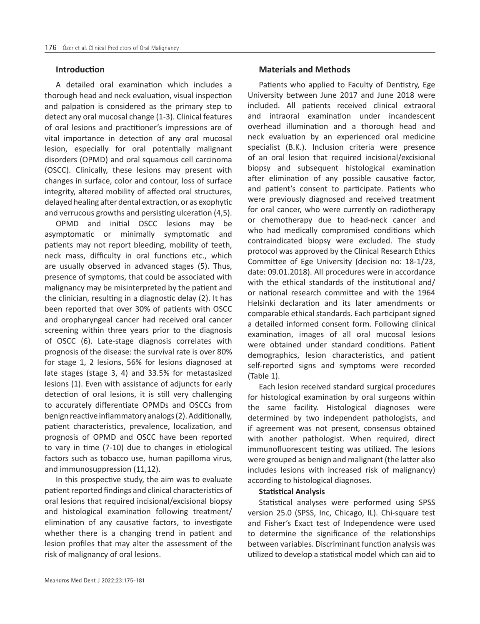#### **Introduction**

A detailed oral examination which includes a thorough head and neck evaluation, visual inspection and palpation is considered as the primary step to detect any oral mucosal change (1-3). Clinical features of oral lesions and practitioner's impressions are of vital importance in detection of any oral mucosal lesion, especially for oral potentially malignant disorders (OPMD) and oral squamous cell carcinoma (OSCC). Clinically, these lesions may present with changes in surface, color and contour, loss of surface integrity, altered mobility of affected oral structures, delayed healing after dental extraction, or as exophytic and verrucous growths and persisting ulceration (4,5).

OPMD and initial OSCC lesions may be asymptomatic or minimally symptomatic and patients may not report bleeding, mobility of teeth, neck mass, difficulty in oral functions etc., which are usually observed in advanced stages (5). Thus, presence of symptoms, that could be associated with malignancy may be misinterpreted by the patient and the clinician, resulting in a diagnostic delay (2). It has been reported that over 30% of patients with OSCC and oropharyngeal cancer had received oral cancer screening within three years prior to the diagnosis of OSCC (6). Late-stage diagnosis correlates with prognosis of the disease: the survival rate is over 80% for stage 1, 2 lesions, 56% for lesions diagnosed at late stages (stage 3, 4) and 33.5% for metastasized lesions (1). Even with assistance of adjuncts for early detection of oral lesions, it is still very challenging to accurately differentiate OPMDs and OSCCs from benign reactive inflammatory analogs (2). Additionally, patient characteristics, prevalence, localization, and prognosis of OPMD and OSCC have been reported to vary in time (7-10) due to changes in etiological factors such as tobacco use, human papilloma virus, and immunosuppression (11,12).

In this prospective study, the aim was to evaluate patient reported findings and clinical characteristics of oral lesions that required incisional/excisional biopsy and histological examination following treatment/ elimination of any causative factors, to investigate whether there is a changing trend in patient and lesion profiles that may alter the assessment of the risk of malignancy of oral lesions.

# **Materials and Methods**

Patients who applied to Faculty of Dentistry, Ege University between June 2017 and June 2018 were included. All patients received clinical extraoral and intraoral examination under incandescent overhead illumination and a thorough head and neck evaluation by an experienced oral medicine specialist (B.K.). Inclusion criteria were presence of an oral lesion that required incisional/excisional biopsy and subsequent histological examination after elimination of any possible causative factor, and patient's consent to participate. Patients who were previously diagnosed and received treatment for oral cancer, who were currently on radiotherapy or chemotherapy due to head-neck cancer and who had medically compromised conditions which contraindicated biopsy were excluded. The study protocol was approved by the Clinical Research Ethics Committee of Ege University (decision no: 18-1/23, date: 09.01.2018). All procedures were in accordance with the ethical standards of the institutional and/ or national research committee and with the 1964 Helsinki declaration and its later amendments or comparable ethical standards. Each participant signed a detailed informed consent form. Following clinical examination, images of all oral mucosal lesions were obtained under standard conditions. Patient demographics, lesion characteristics, and patient self-reported signs and symptoms were recorded (Table 1).

Each lesion received standard surgical procedures for histological examination by oral surgeons within the same facility. Histological diagnoses were determined by two independent pathologists, and if agreement was not present, consensus obtained with another pathologist. When required, direct immunofluorescent testing was utilized. The lesions were grouped as benign and malignant (the latter also includes lesions with increased risk of malignancy) according to histological diagnoses.

# **Statistical Analysis**

Statistical analyses were performed using SPSS version 25.0 (SPSS, Inc, Chicago, IL). Chi-square test and Fisher's Exact test of Independence were used to determine the significance of the relationships between variables. Discriminant function analysis was utilized to develop a statistical model which can aid to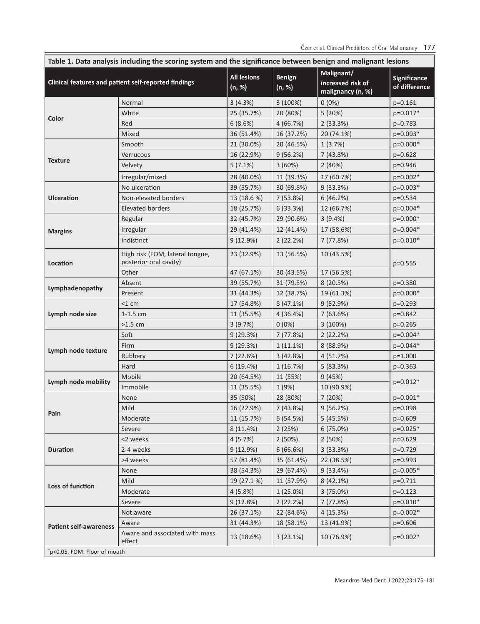Özer et al. Clinical Predictors of Oral Malignancy 177

| Table 1. Data analysis including the scoring system and the significance between benign and malignant lesions |                                                           |                              |                         |                                                      |                               |
|---------------------------------------------------------------------------------------------------------------|-----------------------------------------------------------|------------------------------|-------------------------|------------------------------------------------------|-------------------------------|
| Clinical features and patient self-reported findings                                                          |                                                           | <b>All lesions</b><br>(n, %) | <b>Benign</b><br>(n, %) | Malignant/<br>increased risk of<br>malignancy (n, %) | Significance<br>of difference |
| Color                                                                                                         | Normal                                                    | 3(4.3%)                      | 3(100%)                 | $0(0\%)$                                             | $p=0.161$                     |
|                                                                                                               | White                                                     | 25 (35.7%)                   | 20 (80%)                | 5 (20%)                                              | p=0.017*                      |
|                                                                                                               | Red                                                       | 6(8.6%)                      | 4(66.7%)                | 2(33.3%)                                             | $p=0.783$                     |
|                                                                                                               | Mixed                                                     | 36 (51.4%)                   | 16 (37.2%)              | 20 (74.1%)                                           | p=0.003*                      |
| <b>Texture</b>                                                                                                | Smooth                                                    | 21 (30.0%)                   | 20 (46.5%)              | 1(3.7%)                                              | p=0.000*                      |
|                                                                                                               | Verrucous                                                 | 16 (22.9%)                   | 9(56.2%)                | 7(43.8%)                                             | $p=0.628$                     |
|                                                                                                               | Velvety                                                   | $5(7.1\%)$                   | 3(60%)                  | 2(40%)                                               | p=0.946                       |
|                                                                                                               | Irregular/mixed                                           | 28 (40.0%)                   | 11 (39.3%)              | 17 (60.7%)                                           | p=0.002*                      |
| <b>Ulceration</b>                                                                                             | No ulceration                                             | 39 (55.7%)                   | 30 (69.8%)              | 9(33.3%)                                             | p=0.003*                      |
|                                                                                                               | Non-elevated borders                                      | 13 (18.6 %)                  | 7(53.8%)                | 6(46.2%)                                             | $p=0.534$                     |
|                                                                                                               | Elevated borders                                          | 18 (25.7%)                   | 6 (33.3%)               | 12 (66.7%)                                           | p=0.004*                      |
| <b>Margins</b>                                                                                                | Regular                                                   | 32 (45.7%)                   | 29 (90.6%)              | 3(9.4%)                                              | p=0.000*                      |
|                                                                                                               | Irregular                                                 | 29 (41.4%)                   | 12 (41.4%)              | 17 (58.6%)                                           | p=0.004*                      |
|                                                                                                               | Indistinct                                                | 9(12.9%)                     | 2(22.2%)                | 7(77.8%)                                             | p=0.010*                      |
| Location                                                                                                      | High risk (FOM, lateral tongue,<br>posterior oral cavity) | 23 (32.9%)                   | 13 (56.5%)              | 10 (43.5%)                                           | $p = 0.555$                   |
|                                                                                                               | Other                                                     | 47 (67.1%)                   | 30 (43.5%)              | 17 (56.5%)                                           |                               |
| Lymphadenopathy                                                                                               | Absent                                                    | 39 (55.7%)                   | 31 (79.5%)              | 8 (20.5%)                                            | $p=0.380$                     |
|                                                                                                               | Present                                                   | 31 (44.3%)                   | 12 (38.7%)              | 19 (61.3%)                                           | p=0.000*                      |
| Lymph node size                                                                                               | $<$ 1 cm                                                  | 17 (54.8%)                   | 8 (47.1%)               | 9(52.9%)                                             | p=0.293                       |
|                                                                                                               | $1-1.5$ cm                                                | 11 (35.5%)                   | 4 (36.4%)               | 7 (63.6%)                                            | p=0.842                       |
|                                                                                                               | $>1.5$ cm                                                 | 3(9.7%)                      | $0(0\%)$                | 3(100%)                                              | $p=0.265$                     |
| Lymph node texture                                                                                            | Soft                                                      | 9(29.3%)                     | 7(77.8%)                | 2(22.2%)                                             | p=0.004*                      |
|                                                                                                               | Firm                                                      | 9(29.3%)                     | 1(11.1%)                | 8 (88.9%)                                            | $p=0.044*$                    |
|                                                                                                               | Rubbery                                                   | 7 (22.6%)                    | 3 (42.8%)               | 4 (51.7%)                                            | p=1.000                       |
|                                                                                                               | Hard                                                      | 6(19.4%)                     | 1(16.7%)                | 5(83.3%)                                             | $p=0.363$                     |
| Lymph node mobility                                                                                           | Mobile                                                    | 20 (64.5%)                   | 11 (55%)                | 9(45%)                                               | $p=0.012*$                    |
|                                                                                                               | Immobile                                                  | 11 (35.5%)                   | 1 (9%)                  | 10 (90.9%)                                           |                               |
| Pain                                                                                                          | None                                                      | 35 (50%)                     | 28 (80%)                | 7(20%)                                               | $p=0.001*$                    |
|                                                                                                               | Mild                                                      | 16 (22.9%)                   | 7 (43.8%)               | 9(56.2%)                                             | p=0.098                       |
|                                                                                                               | Moderate                                                  | 11 (15.7%)                   | 6(54.5%)                | 5(45.5%)                                             | $p=0.609$                     |
|                                                                                                               | Severe                                                    | 8 (11.4%)                    | 2(25%)                  | 6(75.0%)                                             | $p=0.025*$                    |
| <b>Duration</b>                                                                                               | <2 weeks                                                  | 4(5.7%)                      | 2(50%)                  | 2(50%)                                               | p=0.629                       |
|                                                                                                               | 2-4 weeks                                                 | 9(12.9%)                     | 6(66.6%)                | 3(33.3%)                                             | p=0.729                       |
|                                                                                                               | >4 weeks                                                  | 57 (81.4%)                   | 35 (61.4%)              | 22 (38.5%)                                           | p=0.993                       |
| Loss of function                                                                                              | None                                                      | 38 (54.3%)                   | 29 (67.4%)              | 9(33.4%)                                             | $p=0.005*$                    |
|                                                                                                               | Mild                                                      | 19 (27.1 %)                  | 11 (57.9%)              | 8(42.1%)                                             | p=0.711                       |
|                                                                                                               | Moderate                                                  | 4(5.8%)                      | 1(25.0%)                | 3(75.0%)                                             | $p=0.123$                     |
|                                                                                                               | Severe                                                    | 9(12.8%)                     | 2(22.2%)                | 7(77.8%)                                             | p=0.010*                      |
| <b>Patient self-awareness</b>                                                                                 | Not aware                                                 | 26 (37.1%)                   | 22 (84.6%)              | 4(15.3%)                                             | p=0.002*                      |
|                                                                                                               | Aware                                                     | 31 (44.3%)                   | 18 (58.1%)              | 13 (41.9%)                                           | $p=0.606$                     |
|                                                                                                               | Aware and associated with mass<br>effect                  | 13 (18.6%)                   | 3(23.1%)                | 10 (76.9%)                                           | $p=0.002*$                    |
| *p<0.05. FOM: Floor of mouth                                                                                  |                                                           |                              |                         |                                                      |                               |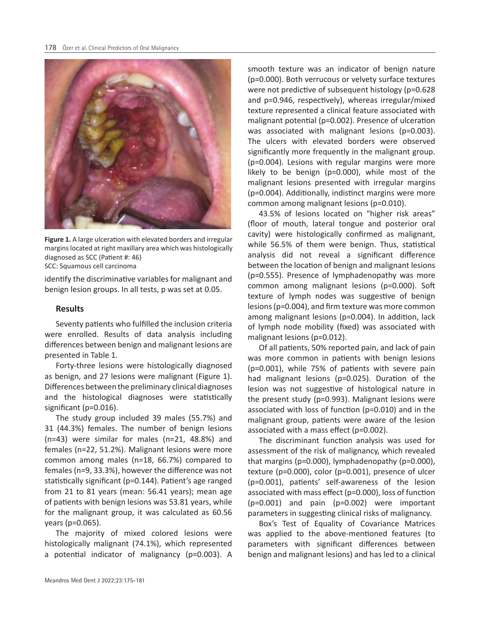

**Figure 1.** A large ulceration with elevated borders and irregular margins located at right maxillary area which was histologically diagnosed as SCC (Patient #: 46) SCC: Squamous cell carcinoma

identify the discriminative variables for malignant and benign lesion groups. In all tests, p was set at 0.05.

# **Results**

Seventy patients who fulfilled the inclusion criteria were enrolled. Results of data analysis including differences between benign and malignant lesions are presented in Table 1.

Forty-three lesions were histologically diagnosed as benign, and 27 lesions were malignant (Figure 1). Differences between the preliminary clinical diagnoses and the histological diagnoses were statistically significant (p=0.016).

The study group included 39 males (55.7%) and 31 (44.3%) females. The number of benign lesions (n=43) were similar for males (n=21, 48.8%) and females (n=22, 51.2%). Malignant lesions were more common among males (n=18, 66.7%) compared to females (n=9, 33.3%), however the difference was not statistically significant (p=0.144). Patient's age ranged from 21 to 81 years (mean: 56.41 years); mean age of patients with benign lesions was 53.81 years, while for the malignant group, it was calculated as 60.56 years (p=0.065).

The majority of mixed colored lesions were histologically malignant (74.1%), which represented a potential indicator of malignancy (p=0.003). A smooth texture was an indicator of benign nature (p=0.000). Both verrucous or velvety surface textures were not predictive of subsequent histology (p=0.628 and p=0.946, respectively), whereas irregular/mixed texture represented a clinical feature associated with malignant potential (p=0.002). Presence of ulceration was associated with malignant lesions (p=0.003). The ulcers with elevated borders were observed significantly more frequently in the malignant group. (p=0.004). Lesions with regular margins were more likely to be benign (p=0.000), while most of the malignant lesions presented with irregular margins (p=0.004). Additionally, indistinct margins were more common among malignant lesions (p=0.010).

43.5% of lesions located on "higher risk areas" (floor of mouth, lateral tongue and posterior oral cavity) were histologically confirmed as malignant, while 56.5% of them were benign. Thus, statistical analysis did not reveal a significant difference between the location of benign and malignant lesions (p=0.555). Presence of lymphadenopathy was more common among malignant lesions (p=0.000). Soft texture of lymph nodes was suggestive of benign lesions (p=0.004), and firm texture was more common among malignant lesions (p=0.004). In addition, lack of lymph node mobility (fixed) was associated with malignant lesions (p=0.012).

Of all patients, 50% reported pain, and lack of pain was more common in patients with benign lesions (p=0.001), while 75% of patients with severe pain had malignant lesions (p=0.025). Duration of the lesion was not suggestive of histological nature in the present study (p=0.993). Malignant lesions were associated with loss of function (p=0.010) and in the malignant group, patients were aware of the lesion associated with a mass effect (p=0.002).

The discriminant function analysis was used for assessment of the risk of malignancy, which revealed that margins (p=0.000), lymphadenopathy (p=0.000), texture (p=0.000), color (p=0.001), presence of ulcer (p=0.001), patients' self-awareness of the lesion associated with mass effect (p=0.000), loss of function (p=0.001) and pain (p=0.002) were important parameters in suggesting clinical risks of malignancy.

Box's Test of Equality of Covariance Matrices was applied to the above-mentioned features (to parameters with significant differences between benign and malignant lesions) and has led to a clinical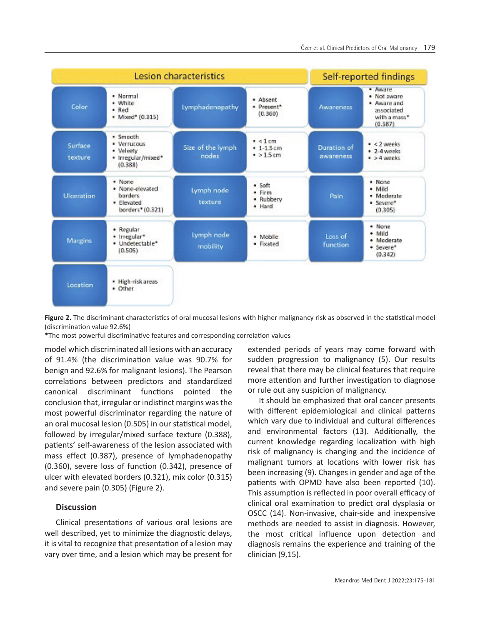

**Figure 2.** The discriminant characteristics of oral mucosal lesions with higher malignancy risk as observed in the statistical model (discrimination value 92.6%)

\*The most powerful discriminative features and corresponding correlation values

model which discriminated all lesions with an accuracy of 91.4% (the discrimination value was 90.7% for benign and 92.6% for malignant lesions). The Pearson correlations between predictors and standardized canonical discriminant functions pointed the conclusion that, irregular or indistinct margins was the most powerful discriminator regarding the nature of an oral mucosal lesion (0.505) in our statistical model, followed by irregular/mixed surface texture (0.388), patients' self-awareness of the lesion associated with mass effect (0.387), presence of lymphadenopathy (0.360), severe loss of function (0.342), presence of ulcer with elevated borders (0.321), mix color (0.315) and severe pain (0.305) (Figure 2).

#### **Discussion**

Clinical presentations of various oral lesions are well described, yet to minimize the diagnostic delays, it is vital to recognize that presentation of a lesion may vary over time, and a lesion which may be present for

extended periods of years may come forward with sudden progression to malignancy (5). Our results reveal that there may be clinical features that require more attention and further investigation to diagnose or rule out any suspicion of malignancy.

It should be emphasized that oral cancer presents with different epidemiological and clinical patterns which vary due to individual and cultural differences and environmental factors (13). Additionally, the current knowledge regarding localization with high risk of malignancy is changing and the incidence of malignant tumors at locations with lower risk has been increasing (9). Changes in gender and age of the patients with OPMD have also been reported (10). This assumption is reflected in poor overall efficacy of clinical oral examination to predict oral dysplasia or OSCC (14). Non-invasive, chair-side and inexpensive methods are needed to assist in diagnosis. However, the most critical influence upon detection and diagnosis remains the experience and training of the clinician (9,15).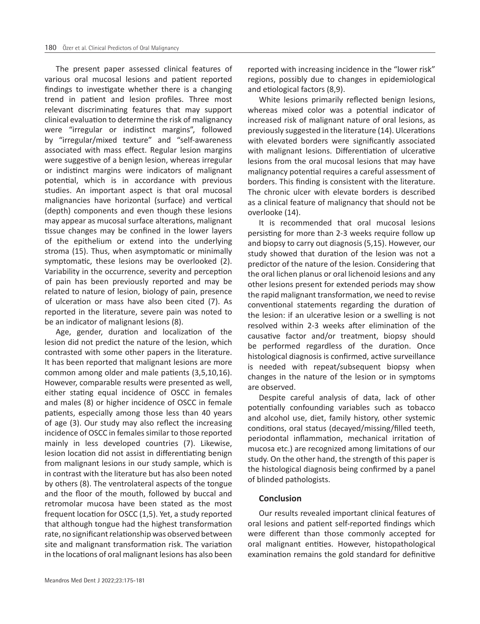The present paper assessed clinical features of various oral mucosal lesions and patient reported findings to investigate whether there is a changing trend in patient and lesion profiles. Three most relevant discriminating features that may support clinical evaluation to determine the risk of malignancy were "irregular or indistinct margins", followed by "irregular/mixed texture" and "self-awareness associated with mass effect. Regular lesion margins were suggestive of a benign lesion, whereas irregular or indistinct margins were indicators of malignant potential, which is in accordance with previous studies. An important aspect is that oral mucosal malignancies have horizontal (surface) and vertical (depth) components and even though these lesions may appear as mucosal surface alterations, malignant tissue changes may be confined in the lower layers of the epithelium or extend into the underlying stroma (15). Thus, when asymptomatic or minimally symptomatic, these lesions may be overlooked (2). Variability in the occurrence, severity and perception of pain has been previously reported and may be related to nature of lesion, biology of pain, presence of ulceration or mass have also been cited (7). As reported in the literature, severe pain was noted to be an indicator of malignant lesions (8).

Age, gender, duration and localization of the lesion did not predict the nature of the lesion, which contrasted with some other papers in the literature. It has been reported that malignant lesions are more common among older and male patients (3,5,10,16). However, comparable results were presented as well, either stating equal incidence of OSCC in females and males (8) or higher incidence of OSCC in female patients, especially among those less than 40 years of age (3). Our study may also reflect the increasing incidence of OSCC in females similar to those reported mainly in less developed countries (7). Likewise, lesion location did not assist in differentiating benign from malignant lesions in our study sample, which is in contrast with the literature but has also been noted by others (8). The ventrolateral aspects of the tongue and the floor of the mouth, followed by buccal and retromolar mucosa have been stated as the most frequent location for OSCC (1,5). Yet, a study reported that although tongue had the highest transformation rate, no significant relationship was observed between site and malignant transformation risk. The variation in the locations of oral malignant lesions has also been

reported with increasing incidence in the "lower risk" regions, possibly due to changes in epidemiological and etiological factors (8,9).

White lesions primarily reflected benign lesions, whereas mixed color was a potential indicator of increased risk of malignant nature of oral lesions, as previously suggested in the literature (14). Ulcerations with elevated borders were significantly associated with malignant lesions. Differentiation of ulcerative lesions from the oral mucosal lesions that may have malignancy potential requires a careful assessment of borders. This finding is consistent with the literature. The chronic ulcer with elevate borders is described as a clinical feature of malignancy that should not be overlooke (14).

It is recommended that oral mucosal lesions persisting for more than 2-3 weeks require follow up and biopsy to carry out diagnosis (5,15). However, our study showed that duration of the lesion was not a predictor of the nature of the lesion. Considering that the oral lichen planus or oral lichenoid lesions and any other lesions present for extended periods may show the rapid malignant transformation, we need to revise conventional statements regarding the duration of the lesion: if an ulcerative lesion or a swelling is not resolved within 2-3 weeks after elimination of the causative factor and/or treatment, biopsy should be performed regardless of the duration. Once histological diagnosis is confirmed, active surveillance is needed with repeat/subsequent biopsy when changes in the nature of the lesion or in symptoms are observed.

Despite careful analysis of data, lack of other potentially confounding variables such as tobacco and alcohol use, diet, family history, other systemic conditions, oral status (decayed/missing/filled teeth, periodontal inflammation, mechanical irritation of mucosa etc.) are recognized among limitations of our study. On the other hand, the strength of this paper is the histological diagnosis being confirmed by a panel of blinded pathologists.

#### **Conclusion**

Our results revealed important clinical features of oral lesions and patient self-reported findings which were different than those commonly accepted for oral malignant entities. However, histopathological examination remains the gold standard for definitive